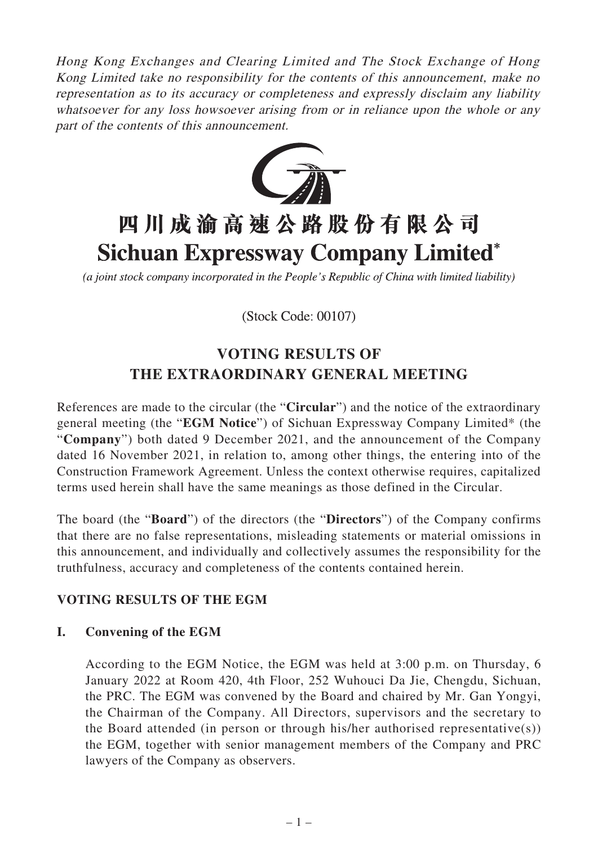Hong Kong Exchanges and Clearing Limited and The Stock Exchange of Hong Kong Limited take no responsibility for the contents of this announcement, make no representation as to its accuracy or completeness and expressly disclaim any liability whatsoever for any loss howsoever arising from or in reliance upon the whole or any part of the contents of this announcement.



# 四川成渝高速公路股份有限公司 **Sichuan Expressway Company Limited\***

(a joint stock company incorporated in the People's Republic of China with limited liability)

(Stock Code: 00107)

## **VOTING RESULTS OF THE EXTRAORDINARY GENERAL MEETING**

References are made to the circular (the "**Circular**") and the notice of the extraordinary general meeting (the "**EGM Notice**") of Sichuan Expressway Company Limited\* (the "**Company**") both dated 9 December 2021, and the announcement of the Company dated 16 November 2021, in relation to, among other things, the entering into of the Construction Framework Agreement. Unless the context otherwise requires, capitalized terms used herein shall have the same meanings as those defined in the Circular.

The board (the "**Board**") of the directors (the "**Directors**") of the Company confirms that there are no false representations, misleading statements or material omissions in this announcement, and individually and collectively assumes the responsibility for the truthfulness, accuracy and completeness of the contents contained herein.

### **VOTING RESULTS OF THE EGM**

#### **I. Convening of the EGM**

According to the EGM Notice, the EGM was held at 3:00 p.m. on Thursday, 6 January 2022 at Room 420, 4th Floor, 252 Wuhouci Da Jie, Chengdu, Sichuan, the PRC. The EGM was convened by the Board and chaired by Mr. Gan Yongyi, the Chairman of the Company. All Directors, supervisors and the secretary to the Board attended (in person or through his/her authorised representative(s)) the EGM, together with senior management members of the Company and PRC lawyers of the Company as observers.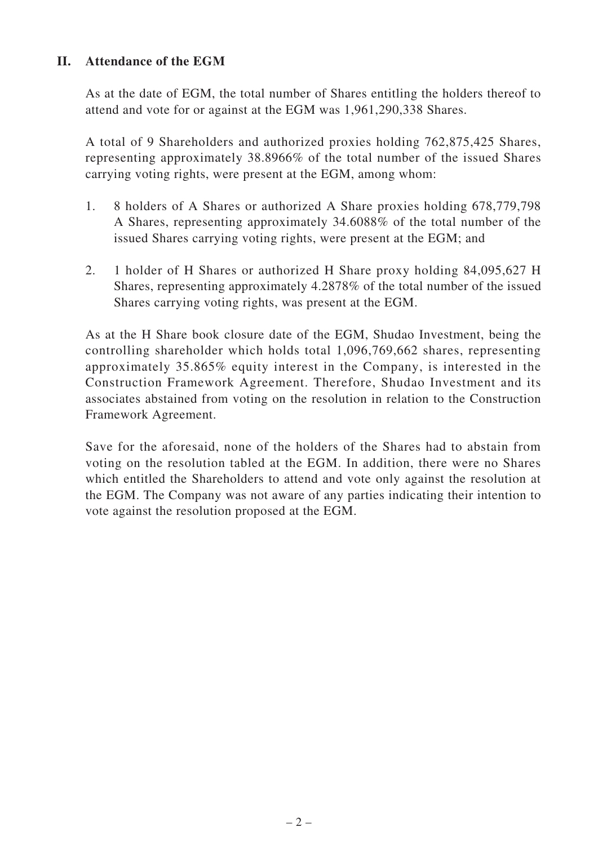#### **II. Attendance of the EGM**

As at the date of EGM, the total number of Shares entitling the holders thereof to attend and vote for or against at the EGM was 1,961,290,338 Shares.

A total of 9 Shareholders and authorized proxies holding 762,875,425 Shares, representing approximately 38.8966% of the total number of the issued Shares carrying voting rights, were present at the EGM, among whom:

- 1. 8 holders of A Shares or authorized A Share proxies holding 678,779,798 A Shares, representing approximately 34.6088% of the total number of the issued Shares carrying voting rights, were present at the EGM; and
- 2. 1 holder of H Shares or authorized H Share proxy holding 84,095,627 H Shares, representing approximately 4.2878% of the total number of the issued Shares carrying voting rights, was present at the EGM.

As at the H Share book closure date of the EGM, Shudao Investment, being the controlling shareholder which holds total 1,096,769,662 shares, representing approximately 35.865% equity interest in the Company, is interested in the Construction Framework Agreement. Therefore, Shudao Investment and its associates abstained from voting on the resolution in relation to the Construction Framework Agreement.

Save for the aforesaid, none of the holders of the Shares had to abstain from voting on the resolution tabled at the EGM. In addition, there were no Shares which entitled the Shareholders to attend and vote only against the resolution at the EGM. The Company was not aware of any parties indicating their intention to vote against the resolution proposed at the EGM.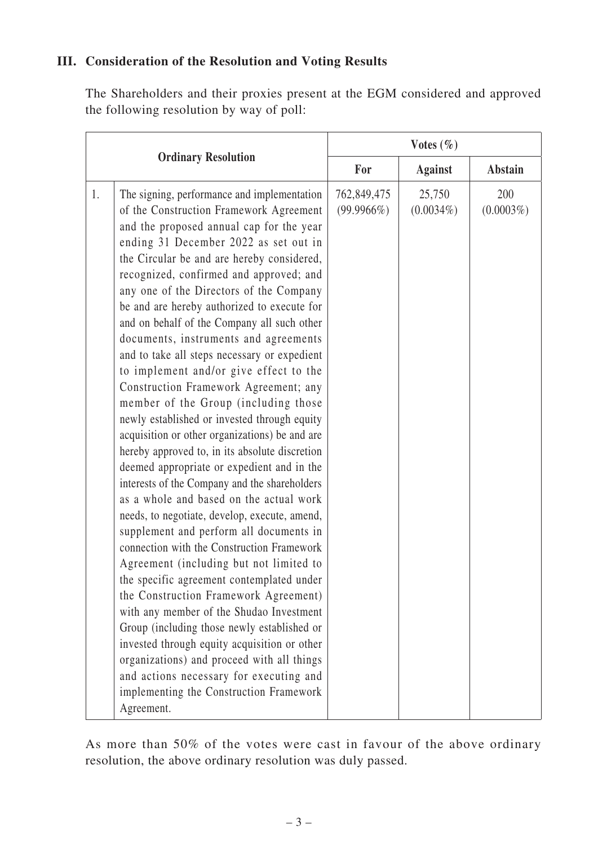#### **III. Consideration of the Resolution and Voting Results**

The Shareholders and their proxies present at the EGM considered and approved the following resolution by way of poll:

| <b>Ordinary Resolution</b>                                                                                                                                                                                                                                                                                                                                                                                                                                                                                                                                                                                                                                                                                                                                                                                                                                                                                                                                                                                                                                                                                                                                                                                                                                                                                                                                                                                                                                                                                    | Votes $(\% )$                |                        |                     |
|---------------------------------------------------------------------------------------------------------------------------------------------------------------------------------------------------------------------------------------------------------------------------------------------------------------------------------------------------------------------------------------------------------------------------------------------------------------------------------------------------------------------------------------------------------------------------------------------------------------------------------------------------------------------------------------------------------------------------------------------------------------------------------------------------------------------------------------------------------------------------------------------------------------------------------------------------------------------------------------------------------------------------------------------------------------------------------------------------------------------------------------------------------------------------------------------------------------------------------------------------------------------------------------------------------------------------------------------------------------------------------------------------------------------------------------------------------------------------------------------------------------|------------------------------|------------------------|---------------------|
|                                                                                                                                                                                                                                                                                                                                                                                                                                                                                                                                                                                                                                                                                                                                                                                                                                                                                                                                                                                                                                                                                                                                                                                                                                                                                                                                                                                                                                                                                                               | For                          | <b>Against</b>         | <b>Abstain</b>      |
| The signing, performance and implementation<br>1.<br>of the Construction Framework Agreement<br>and the proposed annual cap for the year<br>ending 31 December 2022 as set out in<br>the Circular be and are hereby considered,<br>recognized, confirmed and approved; and<br>any one of the Directors of the Company<br>be and are hereby authorized to execute for<br>and on behalf of the Company all such other<br>documents, instruments and agreements<br>and to take all steps necessary or expedient<br>to implement and/or give effect to the<br>Construction Framework Agreement; any<br>member of the Group (including those<br>newly established or invested through equity<br>acquisition or other organizations) be and are<br>hereby approved to, in its absolute discretion<br>deemed appropriate or expedient and in the<br>interests of the Company and the shareholders<br>as a whole and based on the actual work<br>needs, to negotiate, develop, execute, amend,<br>supplement and perform all documents in<br>connection with the Construction Framework<br>Agreement (including but not limited to<br>the specific agreement contemplated under<br>the Construction Framework Agreement)<br>with any member of the Shudao Investment<br>Group (including those newly established or<br>invested through equity acquisition or other<br>organizations) and proceed with all things<br>and actions necessary for executing and<br>implementing the Construction Framework<br>Agreement. | 762,849,475<br>$(99.9966\%)$ | 25,750<br>$(0.0034\%)$ | 200<br>$(0.0003\%)$ |

As more than 50% of the votes were cast in favour of the above ordinary resolution, the above ordinary resolution was duly passed.